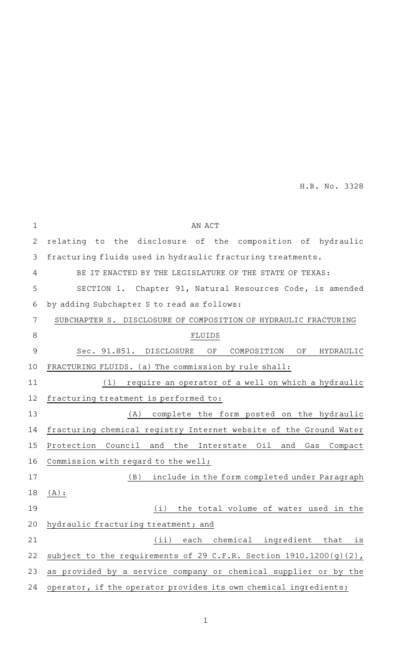H.B. No. 3328

| $1\,$        | AN ACT                                                             |
|--------------|--------------------------------------------------------------------|
| $\mathbf{2}$ | relating to the disclosure of the composition of hydraulic         |
| 3            | fracturing fluids used in hydraulic fracturing treatments.         |
| 4            | BE IT ENACTED BY THE LEGISLATURE OF THE STATE OF TEXAS:            |
| 5            | SECTION 1. Chapter 91, Natural Resources Code, is amended          |
| 6            | by adding Subchapter S to read as follows:                         |
| 7            | SUBCHAPTER S. DISCLOSURE OF COMPOSITION OF HYDRAULIC FRACTURING    |
| 8            | FLUIDS                                                             |
| 9            | Sec. 91.851. DISCLOSURE<br>OF<br>OF<br>COMPOSITION<br>HYDRAULIC    |
| 10           | FRACTURING FLUIDS. (a) The commission by rule shall:               |
| 11           | require an operator of a well on which a hydraulic<br>(1)          |
| 12           | fracturing treatment is performed to:                              |
| 13           | (A) complete the form posted on the hydraulic                      |
| 14           | fracturing chemical registry Internet website of the Ground Water  |
| 15           | Protection Council<br>and the Interstate Oil and<br>Gas<br>Compact |
| 16           | Commission with regard to the well;                                |
| 17           | include in the form completed under Paragraph<br>(B)               |
| 18           | $(A)$ :                                                            |
| 19           | the total volume of water used in the<br>(i)                       |
| 20           | hydraulic fracturing treatment; and                                |
| 21           | chemical ingredient<br>(iii)<br>each<br>that<br>is                 |
| 22           | subject to the requirements of 29 C.F.R. Section 1910.1200(g)(2),  |
| 23           | as provided by a service company or chemical supplier or by the    |
| 24           | operator, if the operator provides its own chemical ingredients;   |

1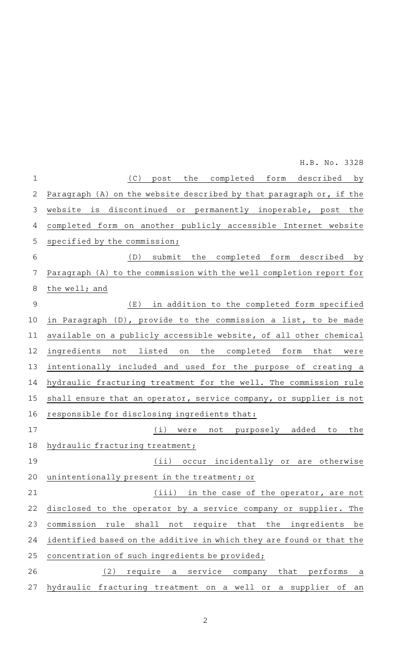(C) post the completed form described by Paragraph (A) on the website described by that paragraph or, if the website is discontinued or permanently inoperable, post the completed form on another publicly accessible Internet website specified by the commission; (D) submit the completed form described by Paragraph (A) to the commission with the well completion report for the well; and (E) in addition to the completed form specified in Paragraph (D), provide to the commission a list, to be made available on a publicly accessible website, of all other chemical ingredients not listed on the completed form that were intentionally included and used for the purpose of creating a hydraulic fracturing treatment for the well. The commission rule shall ensure that an operator, service company, or supplier is not responsible for disclosing ingredients that: (i) were not purposely added to the hydraulic fracturing treatment; (ii) occur incidentally or are otherwise unintentionally present in the treatment; or (iii) in the case of the operator, are not disclosed to the operator by a service company or supplier. The commission rule shall not require that the ingredients be identified based on the additive in which they are found or that the concentration of such ingredients be provided;  $(2)$  require a service company that performs a hydraulic fracturing treatment on a well or a supplier of an 1 2 3 4 5 6 7 8 9 10 11 12 13 14 15 16 17 18 19 20 21 22 23 24 25 26 27 H.B. No. 3328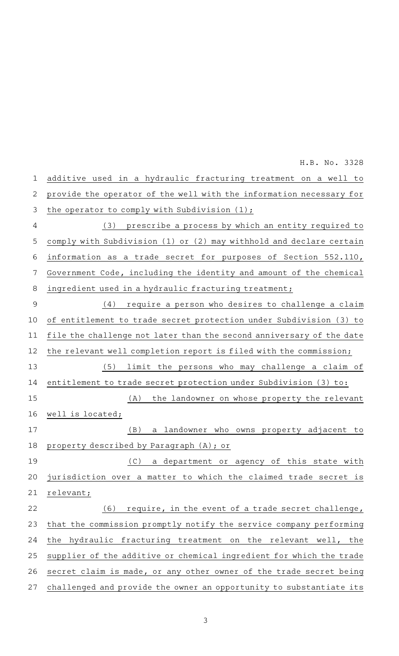additive used in a hydraulic fracturing treatment on a well to provide the operator of the well with the information necessary for the operator to comply with Subdivision (1); (3) prescribe a process by which an entity required to comply with Subdivision (1) or (2) may withhold and declare certain information as a trade secret for purposes of Section 552.110, Government Code, including the identity and amount of the chemical ingredient used in a hydraulic fracturing treatment; (4) require a person who desires to challenge a claim of entitlement to trade secret protection under Subdivision (3) to file the challenge not later than the second anniversary of the date the relevant well completion report is filed with the commission; (5) limit the persons who may challenge a claim of entitlement to trade secret protection under Subdivision (3) to: (A) the landowner on whose property the relevant well is located; (B) a landowner who owns property adjacent to property described by Paragraph (A); or (C) a department or agency of this state with jurisdiction over a matter to which the claimed trade secret is relevant; (6) require, in the event of a trade secret challenge, that the commission promptly notify the service company performing the hydraulic fracturing treatment on the relevant well, the supplier of the additive or chemical ingredient for which the trade secret claim is made, or any other owner of the trade secret being challenged and provide the owner an opportunity to substantiate its 1 2 3 4 5 6 7 8 9 10 11 12 13 14 15 16 17 18 19 20 21 22 23 24 25 26 27 H.B. No. 3328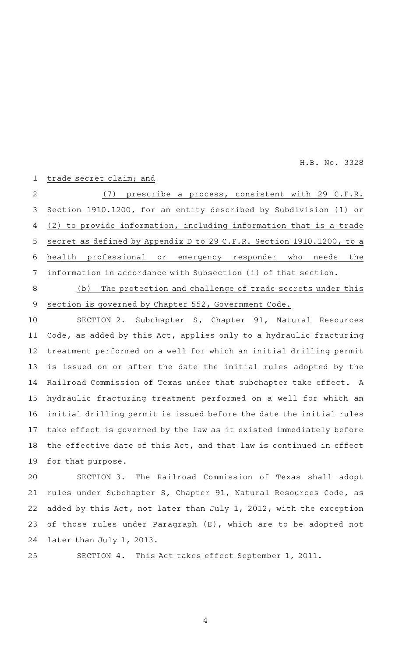H.B. No. 3328

## trade secret claim; and 1

 $(7)$  prescribe a process, consistent with 29 C.F.R. Section 1910.1200, for an entity described by Subdivision (1) or (2) to provide information, including information that is a trade secret as defined by Appendix D to 29 C.F.R. Section 1910.1200, to a health professional or emergency responder who needs the information in accordance with Subsection (i) of that section. 2 3 4 5 6 7

(b) The protection and challenge of trade secrets under this section is governed by Chapter 552, Government Code. 8 9

SECTION 2. Subchapter S, Chapter 91, Natural Resources Code, as added by this Act, applies only to a hydraulic fracturing treatment performed on a well for which an initial drilling permit is issued on or after the date the initial rules adopted by the Railroad Commission of Texas under that subchapter take effect. A hydraulic fracturing treatment performed on a well for which an initial drilling permit is issued before the date the initial rules take effect is governed by the law as it existed immediately before the effective date of this Act, and that law is continued in effect for that purpose. 10 11 12 13 14 15 16 17 18 19

SECTION 3. The Railroad Commission of Texas shall adopt rules under Subchapter S, Chapter 91, Natural Resources Code, as added by this Act, not later than July 1, 2012, with the exception of those rules under Paragraph (E), which are to be adopted not later than July 1, 2013. 20 21 22 23 24

25

SECTION 4. This Act takes effect September 1, 2011.

4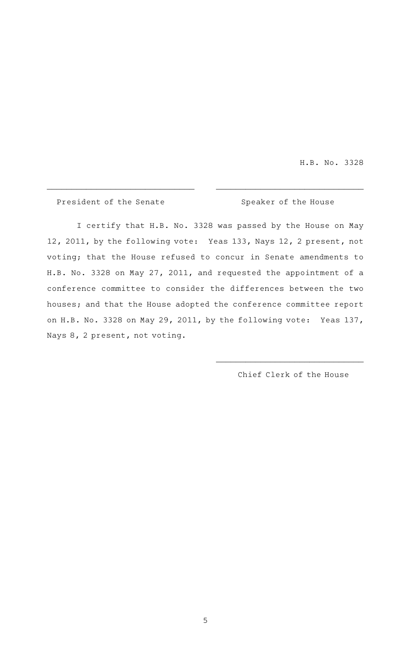H.B. No. 3328

President of the Senate Speaker of the House

I certify that H.B. No. 3328 was passed by the House on May 12, 2011, by the following vote: Yeas 133, Nays 12, 2 present, not voting; that the House refused to concur in Senate amendments to H.B. No. 3328 on May 27, 2011, and requested the appointment of a conference committee to consider the differences between the two houses; and that the House adopted the conference committee report on H.B. No. 3328 on May 29, 2011, by the following vote: Yeas 137, Nays 8, 2 present, not voting.

 $\overline{\phantom{a}}$  , and the contribution of the contribution of the contribution of the contribution of the contribution of the contribution of the contribution of the contribution of the contribution of the contribution of the

Chief Clerk of the House

\_\_\_\_\_\_\_\_\_\_\_\_\_\_\_\_\_\_\_\_\_\_\_\_\_\_\_\_\_\_